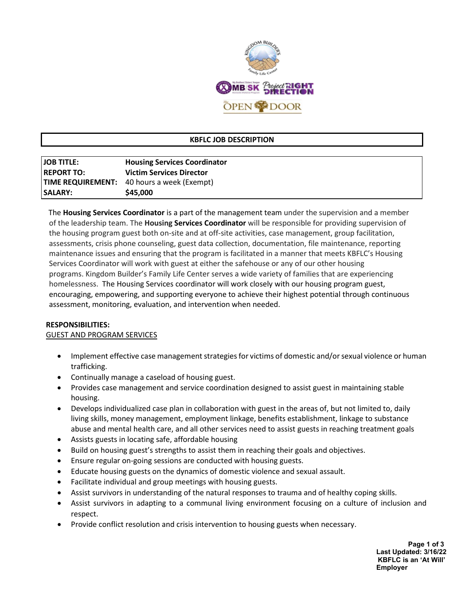

# **KBFLC JOB DESCRIPTION**

| <b>JOB TITLE:</b> | <b>Housing Services Coordinator</b>               |
|-------------------|---------------------------------------------------|
| <b>REPORT TO:</b> | <b>Victim Services Director</b>                   |
|                   | <b>TIME REQUIREMENT:</b> 40 hours a week (Exempt) |
| <b>SALARY:</b>    | \$45,000                                          |

 The **Housing Services Coordinator** is a part of the management team under the supervision and a member of the leadership team. The **Housing Services Coordinator** will be responsible for providing supervision of the housing program guest both on-site and at off-site activities, case management, group facilitation, assessments, crisis phone counseling, guest data collection, documentation, file maintenance, reporting maintenance issues and ensuring that the program is facilitated in a manner that meets KBFLC's Housing Services Coordinator will work with guest at either the safehouse or any of our other housing programs. Kingdom Builder's Family Life Center serves a wide variety of families that are experiencing homelessness. The Housing Services coordinator will work closely with our housing program guest, encouraging, empowering, and supporting everyone to achieve their highest potential through continuous assessment, monitoring, evaluation, and intervention when needed.

#### **RESPONSIBILITIES:**

### GUEST AND PROGRAM SERVICES

- Implement effective case management strategies for victims of domestic and/or sexual violence or human trafficking.
- Continually manage a caseload of housing guest.
- Provides case management and service coordination designed to assist guest in maintaining stable housing.
- Develops individualized case plan in collaboration with guest in the areas of, but not limited to, daily living skills, money management, employment linkage, benefits establishment, linkage to substance abuse and mental health care, and all other services need to assist guests in reaching treatment goals
- Assists guests in locating safe, affordable housing
- Build on housing guest's strengths to assist them in reaching their goals and objectives.
- Ensure regular on-going sessions are conducted with housing guests.
- Educate housing guests on the dynamics of domestic violence and sexual assault.
- Facilitate individual and group meetings with housing guests.
- Assist survivors in understanding of the natural responses to trauma and of healthy coping skills.
- Assist survivors in adapting to a communal living environment focusing on a culture of inclusion and respect.
- Provide conflict resolution and crisis intervention to housing guests when necessary.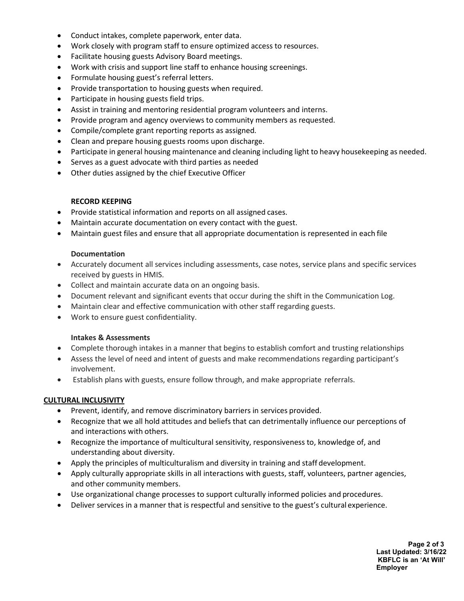- Conduct intakes, complete paperwork, enter data.
- Work closely with program staff to ensure optimized access to resources.
- Facilitate housing guests Advisory Board meetings.
- Work with crisis and support line staff to enhance housing screenings.
- Formulate housing guest's referral letters.
- Provide transportation to housing guests when required.
- Participate in housing guests field trips.
- Assist in training and mentoring residential program volunteers and interns.
- Provide program and agency overviews to community members as requested.
- Compile/complete grant reporting reports as assigned.
- Clean and prepare housing guests rooms upon discharge.
- Participate in general housing maintenance and cleaning including light to heavy housekeeping as needed.
- Serves as a guest advocate with third parties as needed
- Other duties assigned by the chief Executive Officer

### **RECORD KEEPING**

- Provide statistical information and reports on all assigned cases.
- Maintain accurate documentation on every contact with the guest.
- Maintain guest files and ensure that all appropriate documentation is represented in each file

### **Documentation**

- Accurately document all services including assessments, case notes, service plans and specific services received by guests in HMIS.
- Collect and maintain accurate data on an ongoing basis.
- Document relevant and significant events that occur during the shift in the Communication Log.
- Maintain clear and effective communication with other staff regarding guests.
- Work to ensure guest confidentiality.

### **Intakes & Assessments**

- Complete thorough intakes in a manner that begins to establish comfort and trusting relationships
- Assess the level of need and intent of guests and make recommendations regarding participant's involvement.
- Establish plans with guests, ensure follow through, and make appropriate referrals.

# **CULTURAL INCLUSIVITY**

- Prevent, identify, and remove discriminatory barriers in services provided.
- Recognize that we all hold attitudes and beliefs that can detrimentally influence our perceptions of and interactions with others.
- Recognize the importance of multicultural sensitivity, responsiveness to, knowledge of, and understanding about diversity.
- Apply the principles of multiculturalism and diversity in training and staff development.
- Apply culturally appropriate skills in all interactions with guests, staff, volunteers, partner agencies, and other community members.
- Use organizational change processes to support culturally informed policies and procedures.
- Deliver services in a manner that is respectful and sensitive to the guest's cultural experience.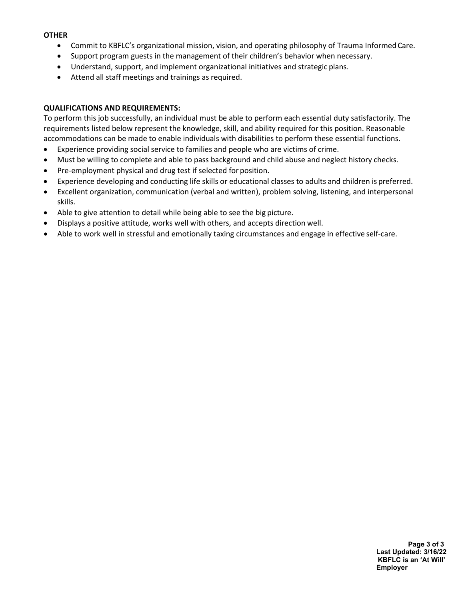#### **OTHER**

- Commit to KBFLC's organizational mission, vision, and operating philosophy of Trauma InformedCare.
- Support program guests in the management of their children's behavior when necessary.
- Understand, support, and implement organizational initiatives and strategic plans.
- Attend all staff meetings and trainings as required.

### **QUALIFICATIONS AND REQUIREMENTS:**

To perform this job successfully, an individual must be able to perform each essential duty satisfactorily. The requirements listed below represent the knowledge, skill, and ability required for this position. Reasonable accommodations can be made to enable individuals with disabilities to perform these essential functions.

- Experience providing social service to families and people who are victims of crime.
- Must be willing to complete and able to pass background and child abuse and neglect history checks.
- Pre-employment physical and drug test if selected for position.
- Experience developing and conducting life skills or educational classes to adults and children is preferred.
- Excellent organization, communication (verbal and written), problem solving, listening, and interpersonal skills.
- Able to give attention to detail while being able to see the big picture.
- Displays a positive attitude, works well with others, and accepts direction well.
- Able to work well in stressful and emotionally taxing circumstances and engage in effective self-care.